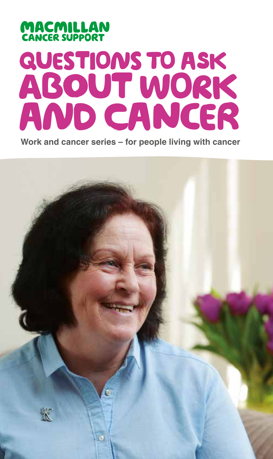# **MACMILLAN**<br>CANCER SUPPORT questions to asK about work And cancer

**Work and cancer series – for people living with cancer**

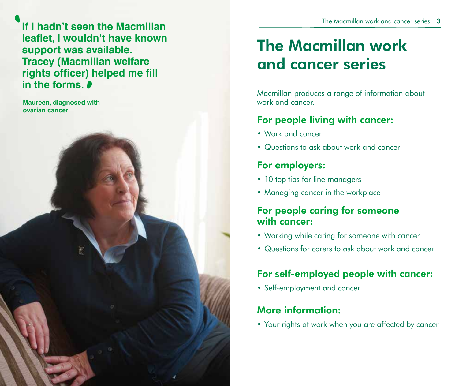**If I hadn't seen the Macmillan leaflet, I wouldn't have known support was available. Tracey (Macmillan welfare rights officer) helped me fill in the forms.** 

**Maureen, diagnosed with ovarian cancer**

**1** 

## The Macmillan work and cancer series

Macmillan produces a range of information about work and cancer.

## For people living with cancer:

- Work and cancer
- Questions to ask about work and cancer

## For employers:

- 10 top tips for line managers
- Managing cancer in the workplace

## For people caring for someone with cancer:

- Working while caring for someone with cancer
- Questions for carers to ask about work and cancer

## For self-employed people with cancer:

• Self-employment and cancer

## More information:

• Your rights at work when you are affected by cancer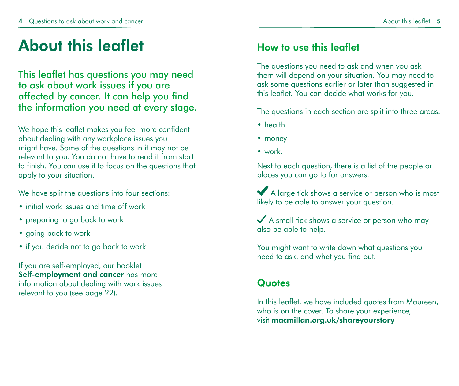## About this leaflet

This leaflet has questions you may need to ask about work issues if you are affected by cancer. It can help you find the information you need at every stage.

We hope this leaflet makes you feel more confident about dealing with any workplace issues you might have. Some of the questions in it may not be relevant to you. You do not have to read it from start to finish. You can use it to focus on the questions that apply to your situation.

We have split the questions into four sections:

- initial work issues and time off work
- preparing to go back to work
- going back to work
- if you decide not to go back to work.

If you are self-employed, our booklet Self-employment and cancer has more information about dealing with work issues relevant to you (see page 22).

### How to use this leaflet

The questions you need to ask and when you ask them will depend on your situation. You may need to ask some questions earlier or later than suggested in this leaflet. You can decide what works for you.

The questions in each section are split into three areas:

- health
- money
- work.

Next to each question, there is a list of the people or places you can go to for answers.

A large tick shows a service or person who is most likely to be able to answer your question.

 $\diagup$  A small tick shows a service or person who may also be able to help.

You might want to write down what questions you need to ask, and what you find out.

### **Quotes**

In this leaflet, we have included quotes from Maureen, who is on the cover. To share your experience, visit macmillan.org.uk/shareyourstory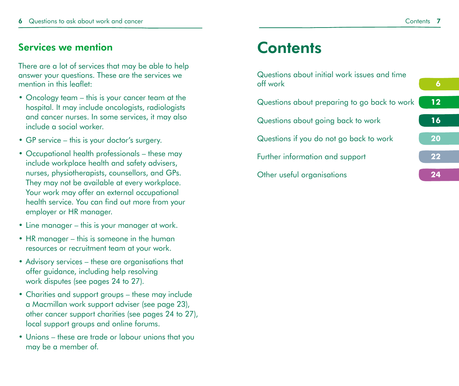### Services we mention

There are a lot of services that may be able to help answer your questions. These are the services we mention in this leaflet:

- Oncology team this is your cancer team at the hospital. It may include oncologists, radiologists and cancer nurses. In some services, it may also include a social worker.
- GP service this is your doctor's surgery.
- Occupational health professionals these may include workplace health and safety advisers, nurses, physiotherapists, counsellors, and GPs. They may not be available at every workplace. Your work may offer an external occupational health service. You can find out more from your employer or HR manager.
- Line manager this is your manager at work.
- HR manager this is someone in the human resources or recruitment team at your work.
- Advisory services these are organisations that offer guidance, including help resolving work disputes (see pages 24 to 27).
- Charities and support groups these may include a Macmillan work support adviser (see page 23), other cancer support charities (see pages 24 to 27), local support groups and online forums.
- Unions these are trade or labour unions that you may be a member of.

## **Contents**

| Questions about initial work issues and time |  |
|----------------------------------------------|--|
| off work                                     |  |
|                                              |  |

- Questions about preparing to go back to work **12** Questions about going back to work **16** Questions if you do not go back to work **20** Further information and support **22**
- Other useful organisations **24**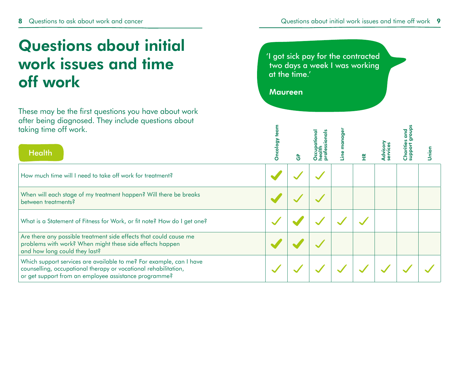## Questions about initial work issues and time off work

These may be the first questions you have about work after being diagnosed. They include questions about taking time off work.

'I got sick pay for the contracted two days a week I was working at the time.'

Maureen

| taking time off work.<br><b>Health</b>                                                                                                                                                          | Oncol |   |  |  | nion |
|-------------------------------------------------------------------------------------------------------------------------------------------------------------------------------------------------|-------|---|--|--|------|
|                                                                                                                                                                                                 |       | O |  |  |      |
| How much time will I need to take off work for treatment?                                                                                                                                       |       |   |  |  |      |
| When will each stage of my treatment happen? Will there be breaks<br>between treatments?                                                                                                        |       |   |  |  |      |
| What is a Statement of Fitness for Work, or fit note? How do I get one?                                                                                                                         |       |   |  |  |      |
| Are there any possible treatment side effects that could cause me<br>problems with work? When might these side effects happen<br>and how long could they last?                                  |       |   |  |  |      |
| Which support services are available to me? For example, can I have<br>counselling, occupational therapy or vocational rehabilitation,<br>or get support from an employee assistance programme? |       |   |  |  |      |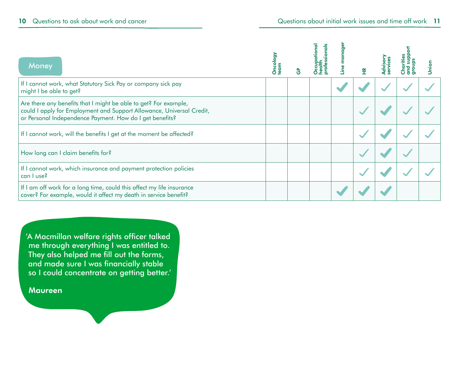| <b>Money</b>                                                                                                                                                                                          | Oncolog<br>team |  |  |  |  |
|-------------------------------------------------------------------------------------------------------------------------------------------------------------------------------------------------------|-----------------|--|--|--|--|
| If I cannot work, what Statutory Sick Pay or company sick pay<br>might I be able to get?                                                                                                              |                 |  |  |  |  |
| Are there any benefits that I might be able to get? For example,<br>could I apply for Employment and Support Allowance, Universal Credit,<br>or Personal Independence Payment. How do I get benefits? |                 |  |  |  |  |
| If I cannot work, will the benefits I get at the moment be affected?                                                                                                                                  |                 |  |  |  |  |
| How long can I claim benefits for?                                                                                                                                                                    |                 |  |  |  |  |
| If I cannot work, which insurance and payment protection policies<br>can I use?                                                                                                                       |                 |  |  |  |  |
| If I am off work for a long time, could this affect my life insurance<br>cover? For example, would it affect my death in service benefit?                                                             |                 |  |  |  |  |

'A Macmillan welfare rights officer talked me through everything I was entitled to. They also helped me fill out the forms, and made sure I was financially stable so I could concentrate on getting better.'

**Maureen**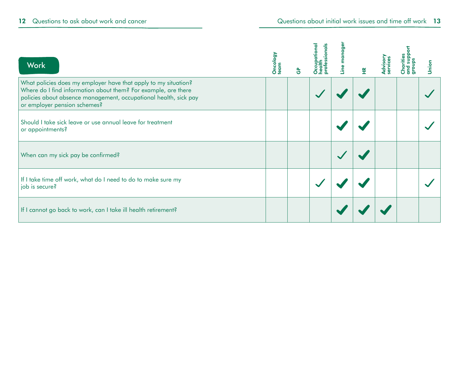| <b>Work</b>                                                                                                                                                                                                                           | Oncology<br>team | $\overline{1}$ |  | ¥ |  | Union |
|---------------------------------------------------------------------------------------------------------------------------------------------------------------------------------------------------------------------------------------|------------------|----------------|--|---|--|-------|
| What policies does my employer have that apply to my situation?<br>Where do I find information about them? For example, are there<br>policies about absence management, occupational health, sick pay<br>or employer pension schemes? |                  |                |  |   |  |       |
| Should I take sick leave or use annual leave for treatment<br>or appointments?                                                                                                                                                        |                  |                |  |   |  |       |
| When can my sick pay be confirmed?                                                                                                                                                                                                    |                  |                |  |   |  |       |
| If I take time off work, what do I need to do to make sure my<br>job is secure?                                                                                                                                                       |                  |                |  |   |  |       |
| If I cannot go back to work, can I take ill health retirement?                                                                                                                                                                        |                  |                |  |   |  |       |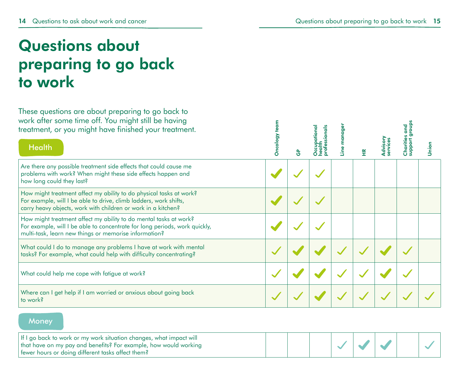## Questions about preparing to go back to work

These questions are about preparing to go back to work after some time off. You might still be having treatment, or you might have finished your treatment.

| work after some fime off. You might still be having<br>treatment, or you might have finished your treatment.<br><b>Health</b>                                                                             | Oncolog |  | ¥ |  | <b>Union</b> |
|-----------------------------------------------------------------------------------------------------------------------------------------------------------------------------------------------------------|---------|--|---|--|--------------|
| Are there any possible treatment side effects that could cause me<br>problems with work? When might these side effects happen and<br>how long could they last?                                            |         |  |   |  |              |
| How might treatment affect my ability to do physical tasks at work?<br>For example, will I be able to drive, climb ladders, work shifts,<br>carry heavy objects, work with children or work in a kitchen? |         |  |   |  |              |
| How might treatment affect my ability to do mental tasks at work?<br>For example, will I be able to concentrate for long periods, work quickly,<br>multi-task, learn new things or memorise information?  |         |  |   |  |              |
| What could I do to manage any problems I have at work with mental<br>tasks? For example, what could help with difficulty concentrating?                                                                   |         |  |   |  |              |
| What could help me cope with fatigue at work?                                                                                                                                                             |         |  |   |  |              |
| Where can I get help if I am worried or anxious about going back<br>to work?                                                                                                                              |         |  |   |  |              |

#### **Money**

| If I go back to work or my work situation changes, what impact will<br>that have on my pay and benefits? For example, how would working |  |  |  |  |
|-----------------------------------------------------------------------------------------------------------------------------------------|--|--|--|--|
| fewer hours or doing different tasks affect them?                                                                                       |  |  |  |  |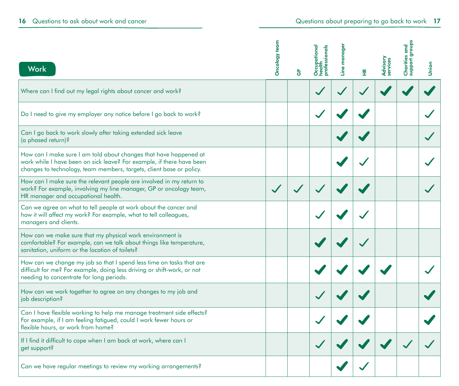|                                                                                                                                                                                                                    | Oncology team |      | professionals<br>Occupational<br>health | manage |   |                             | groups<br>Charities and<br>support group |       |
|--------------------------------------------------------------------------------------------------------------------------------------------------------------------------------------------------------------------|---------------|------|-----------------------------------------|--------|---|-----------------------------|------------------------------------------|-------|
| <b>Work</b>                                                                                                                                                                                                        |               | င်္င |                                         | Line   | Ĩ | <b>Advisory</b><br>services |                                          | Union |
| Where can I find out my legal rights about cancer and work?                                                                                                                                                        |               |      |                                         |        |   |                             |                                          |       |
| Do I need to give my employer any notice before I go back to work?                                                                                                                                                 |               |      |                                         |        |   |                             |                                          |       |
| Can I go back to work slowly after taking extended sick leave<br>(a phased return)?                                                                                                                                |               |      |                                         |        |   |                             |                                          |       |
| How can I make sure I am told about changes that have happened at<br>work while I have been on sick leave? For example, if there have been<br>changes to technology, team members, targets, client base or policy. |               |      |                                         |        |   |                             |                                          |       |
| How can I make sure the relevant people are involved in my return to<br>work? For example, involving my line manager, GP or oncology team,<br>HR manager and occupational health.                                  |               |      |                                         |        |   |                             |                                          |       |
| Can we agree on what to tell people at work about the cancer and<br>how it will affect my work? For example, what to tell colleagues,<br>managers and clients.                                                     |               |      |                                         |        |   |                             |                                          |       |
| How can we make sure that my physical work environment is<br>comfortable? For example, can we talk about things like temperature,<br>sanitation, uniform or the location of toilets?                               |               |      |                                         |        |   |                             |                                          |       |
| How can we change my job so that I spend less time on tasks that are<br>difficult for me? For example, doing less driving or shift-work, or not<br>needing to concentrate for long periods.                        |               |      |                                         |        |   |                             |                                          |       |
| How can we work together to agree on any changes to my job and<br>job description?                                                                                                                                 |               |      |                                         |        |   |                             |                                          |       |
| Can I have flexible working to help me manage treatment side effects?<br>For example, if I am feeling fatigued, could I work fewer hours or<br>flexible hours, or work from home?                                  |               |      |                                         |        |   |                             |                                          |       |
| If I find it difficult to cope when I am back at work, where can I<br>get support?                                                                                                                                 |               |      |                                         |        |   |                             |                                          |       |
| Can we have regular meetings to review my working arrangements?                                                                                                                                                    |               |      |                                         |        |   |                             |                                          |       |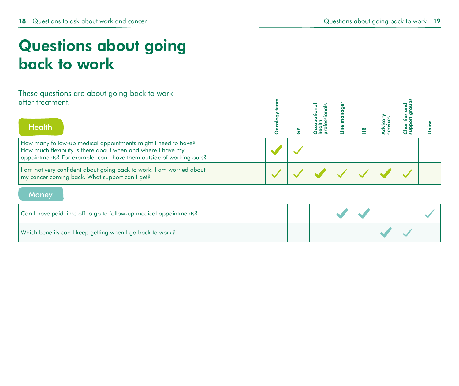## Questions about going back to work

#### These questions are about going back to work after treatment.

| after treatment.                                                                                                                                                                                     |   |  |  |  |  |
|------------------------------------------------------------------------------------------------------------------------------------------------------------------------------------------------------|---|--|--|--|--|
| <b>Health</b>                                                                                                                                                                                        | ი |  |  |  |  |
| How many follow-up medical appointments might I need to have?<br>How much flexibility is there about when and where I have my<br>appointments? For example, can I have them outside of working ours? |   |  |  |  |  |
| I am not very confident about going back to work. I am worried about<br>my cancer coming back. What support can I get?                                                                               |   |  |  |  |  |
| Money                                                                                                                                                                                                |   |  |  |  |  |
| Can I have paid time off to go to follow-up medical appointments?                                                                                                                                    |   |  |  |  |  |
| Which benefits can I keep getting when I go back to work?                                                                                                                                            |   |  |  |  |  |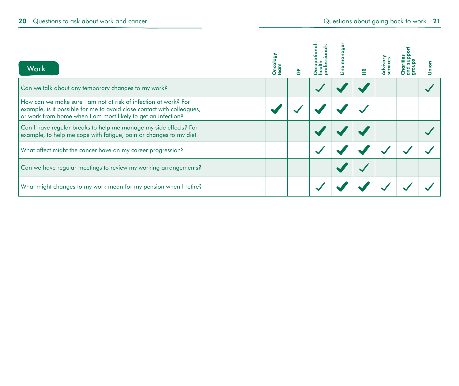| <b>Work</b>                                                                                                                                                                                               | Oncol<br>team |  |  |  |  |
|-----------------------------------------------------------------------------------------------------------------------------------------------------------------------------------------------------------|---------------|--|--|--|--|
| Can we talk about any temporary changes to my work?                                                                                                                                                       |               |  |  |  |  |
| How can we make sure I am not at risk of infection at work? For<br>example, is it possible for me to avoid close contact with colleagues,<br>or work from home when I am most likely to get an infection? |               |  |  |  |  |
| Can I have regular breaks to help me manage my side effects? For<br>example, to help me cope with fatigue, pain or changes to my diet.                                                                    |               |  |  |  |  |
| What affect might the cancer have on my career progression?                                                                                                                                               |               |  |  |  |  |
| Can we have regular meetings to review my working arrangements?                                                                                                                                           |               |  |  |  |  |
| What might changes to my work mean for my pension when I retire?                                                                                                                                          |               |  |  |  |  |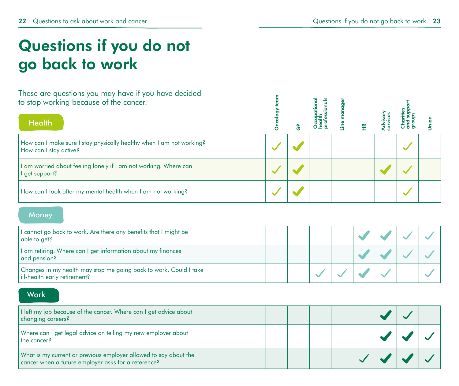## Questions if you do not go back to work

These are questions you may have if you have decided to stop working because of the cancer.

| THESE GIF QUESTIONS YOU THUY HUVE IT YOU HUVE GELIGED<br>to stop working because of the cancer.<br><b>Health</b> |  |  |  |  |
|------------------------------------------------------------------------------------------------------------------|--|--|--|--|
| How can I make sure I stay physically healthy when I am not working?<br>How can I stay active?                   |  |  |  |  |
| am worried about feeling lonely if I am not working. Where can<br>get support?                                   |  |  |  |  |
| How can I look after my mental health when I am not working?                                                     |  |  |  |  |

#### **Money**

| I cannot go back to work. Are there any benefits that I might be<br>  able to get?                  |  |  |  |  |
|-----------------------------------------------------------------------------------------------------|--|--|--|--|
| I am retiring. Where can I get information about my finances<br>and pension?                        |  |  |  |  |
| Changes in my health may stop me going back to work. Could I take<br>  ill-health early retirement? |  |  |  |  |

#### **Work**

| I left my job because of the cancer. Where can I get advice about<br>changing careers?                                  |  |  |  |  |
|-------------------------------------------------------------------------------------------------------------------------|--|--|--|--|
| Where can I get legal advice on telling my new employer about<br>the cancer?                                            |  |  |  |  |
| What is my current or previous employer allowed to say about the<br>cancer when a future employer asks for a reference? |  |  |  |  |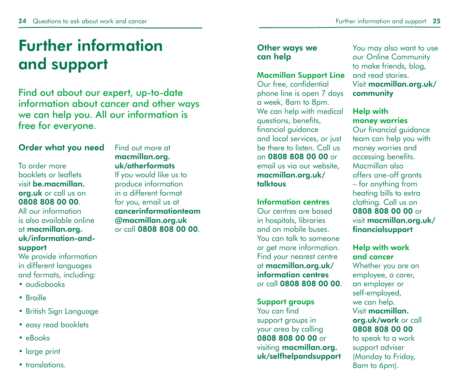## Further information and support

Find out about our expert, up-to-date information about cancer and other ways we can help you. All our information is free for everyone.

#### Order what you need

To order more booklets or leaflets visit be.macmillan. org.uk or call us on 0808 808 00 00. All our information is also available online at macmillan.org. uk/information-and-

#### support

We provide information in different languages and formats, including:

- audiobooks
- Braille
- British Sign Language
- easy read booklets
- eBooks
- large print
- translations

Find out more at macmillan.org. uk/otherformats If you would like us to

produce information in a different format for you, email us at cancerinformationteam @macmillan.org.uk or call 0808 808 00 00.

#### Other ways we can help

#### Macmillan Support Line

Our free, confidential phone line is open 7 days a week, 8am to 8pm. We can help with medical questions, benefits, financial guidance and local services, or just be there to listen. Call us on 0808 808 00 00 or email us via our website, macmillan.org.uk/ talktous

#### Information centres

Our centres are based in hospitals, libraries and on mobile buses. You can talk to someone or get more information. Find your nearest centre at macmillan.org.uk/ information centres or call 0808 808 00 00.

Support groups

You can find support groups in your area by calling 0808 808 00 00 or visiting macmillan.org. uk/selfhelpandsupport You may also want to use our Online Community to make friends, blog, and read stories. Visit macmillan.org.uk/ community

#### Help with money worries

Our financial guidance team can help you with money worries and accessing benefits. Macmillan also offers one-off grants – for anything from heating bills to extra clothing. Call us on 0808 808 00 00 or visit macmillan.org.uk/ financialsupport

#### Help with work and cancer

Whether you are an employee, a carer, an employer or self-employed, we can help. Visit macmillan. org.uk/work or call 0808 808 00 00

to speak to a work support adviser (Monday to Friday, 8am to 6pm).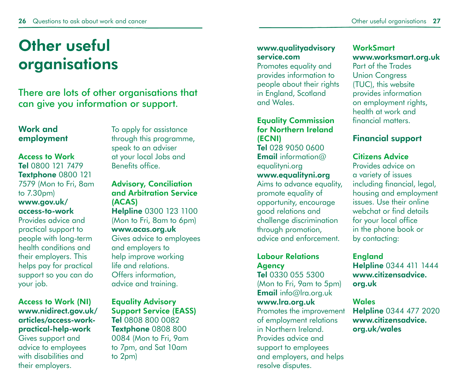## Other useful organisations

There are lots of other organisations that can give you information or support.

#### Work and employment

#### Access to Work Tel 0800 121 7479

Textphone 0800 121 7579 (Mon to Fri, 8am to 7.30pm) www.gov.uk/

## access-to-work

Provides advice and practical support to people with long-term health conditions and their employers. This helps pay for practical support so you can do your job.

#### Access to Work (NI) www.nidirect.gov.uk/ articles/access-workpractical-help-work

Gives support and advice to employees with disabilities and their employers.

To apply for assistance through this programme, speak to an adviser at your local Jobs and Benefits office.

### Advisory, Conciliation and Arbitration Service (ACAS)

Helpline 0300 123 1100 (Mon to Fri, 8am to 6pm) www.acas.org.uk Gives advice to employees and employers to help improve working life and relations. Offers information, advice and training.

#### Equality Advisory Support Service (EASS) Tel 0808 800 0082 Textphone 0808 800 0084 (Mon to Fri, 9am to 7pm, and Sat 10am

to 2pm)

#### www.qualityadvisory service.com

Promotes equality and provides information to people about their rights in England, Scotland and Wales.

#### Equality Commission for Northern Ireland (ECNI) Tel 028 9050 0600 Email information@

equalityni.org www.equalityni.org

Aims to advance equality, promote equality of opportunity, encourage good relations and challenge discrimination through promotion, advice and enforcement.

#### Labour Relations **Agency**

Tel 0330 055 5300 (Mon to Fri, 9am to 5pm) Email info@lra.org.uk www.lra.org.uk Promotes the improvement of employment relations in Northern Ireland. Provides advice and

support to employees and employers, and helps resolve disputes.

#### **WorkSmart** www.worksmart.org.uk

Part of the Trades Union Congress (TUC), this website provides information on employment rights, health at work and financial matters.

### Financial support

#### Citizens Advice

Provides advice on a variety of issues including financial, legal, housing and employment issues. Use their online webchat or find details for your local office in the phone book or by contacting:

### England

Helpline 0344 411 1444 www.citizensadvice. org.uk

#### **Wales**

Helpline 0344 477 2020 www.citizensadvice. org.uk/wales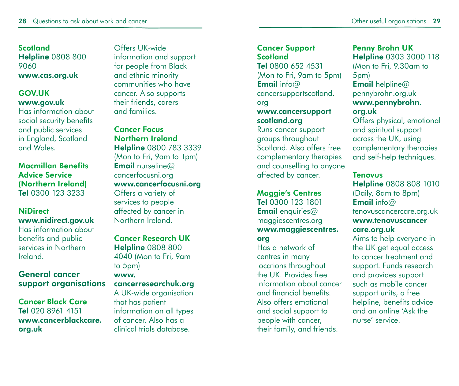**Scotland Helpline 0808 800** 9060 www.cas.org.uk

#### GOV.UK www.gov.uk

Has information about social security benefits and public services in England, Scotland and Wales.

Macmillan Benefits Advice Service (Northern Ireland) Tel 0300 123 3233

#### **NiDirect** www.nidirect.gov.uk Has information about benefits and public services in Northern Ireland.

#### General cancer support organisations

Cancer Black Care Tel 020 8961 4151 www.cancerblackcare. org.uk

Offers UK-wide information and support for people from Black and ethnic minority communities who have cancer. Also supports their friends, carers and families.

Cancer Focus Northern Ireland Helpline 0800 783 3339 (Mon to Fri, 9am to 1pm) **Email** nurseline@ cancerfocusni.org www.cancerfocusni.org Offers a variety of services to people affected by cancer in Northern Ireland.

Cancer Research UK Helpline 0808 800 4040 (Mon to Fri, 9am to 5pm)

www. cancerresearchuk.org A UK-wide organisation

that has patient information on all types of cancer. Also has a clinical trials database.

#### Cancer Support **Scotland**

Tel 0800 652 4531 (Mon to Fri, 9am to 5pm) **Email** info $@$ cancersupportscotland. org

#### www.cancersupport scotland.org

Runs cancer support groups throughout Scotland. Also offers free complementary therapies and counselling to anyone affected by cancer.

#### Maggie's Centres

Tel 0300 123 1801 **Email** enquiries  $\omega$ maggiescentres.org www.maggiescentres. org

Has a network of centres in many locations throughout the UK. Provides free information about cancer and financial benefits. Also offers emotional and social support to people with cancer, their family, and friends.

Penny Brohn UK Helpline 0303 3000 118 (Mon to Fri, 9.30am to 5pm) **Email** helpline@ pennybrohn.org.uk www.pennybrohn. org.uk Offers physical, emotional and spiritual support across the UK, using

complementary therapies and self-help techniques.

#### **Tenovus**

Helpline 0808 808 1010 (Daily, 8am to 8pm) Email info@ tenovuscancercare.org.uk www.tenovuscancer care.org.uk

Aims to help everyone in the UK get equal access to cancer treatment and support. Funds research and provides support such as mobile cancer support units, a free helpline, benefits advice and an online 'Ask the nurse' service.